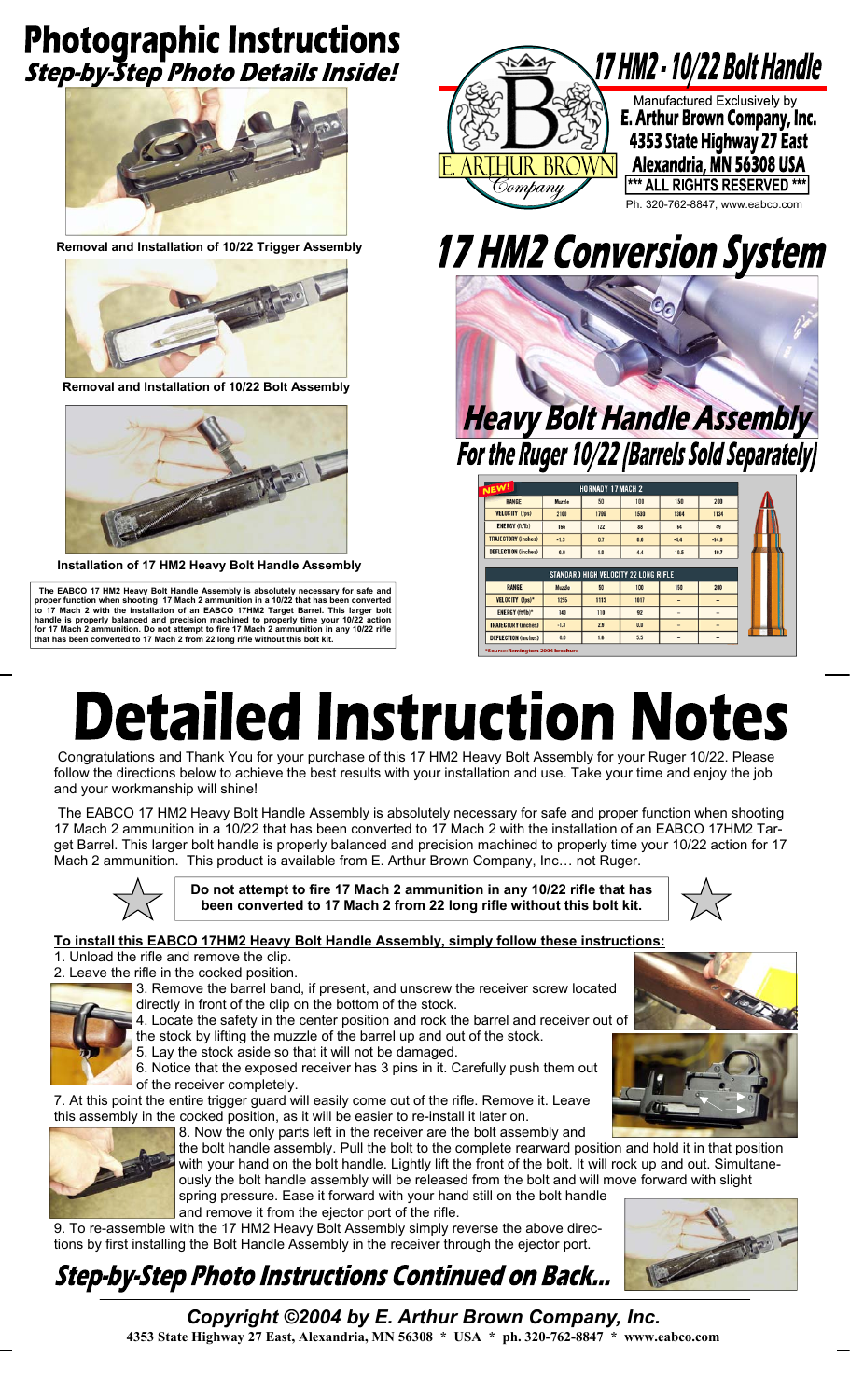### **Photographic Instructions Step-by-Step Photo Details Inside!**



**Removal and Installation of 10/22 Trigger Assembly** 



**Removal and Installation of 10/22 Bolt Assembly** 



**Installation of 17 HM2 Heavy Bolt Handle Assembly** 

The EABCO 17 HM2 Heavy Bolt Handle Assembly is absolutely necessary for safe and<br>proper function when shooting 17 Mach 2 ammunition in a 10/22 that has been converted<br>to 17 Mach 2 with the installation of an EABCO 17HM2 T



## **17 HM2 Conversion System**



| <b>NEW!</b>                      |        | <b>HORNADY 17 MACH 2</b> |                                      |                |                |
|----------------------------------|--------|--------------------------|--------------------------------------|----------------|----------------|
| <b>RANGE</b>                     | Muzzle | 50                       | 100                                  | 150            | 200            |
| <b>VELOCITY (fps)</b>            | 2100   | 1799                     | 1530                                 | 1304           | 1134           |
| <b>ENERGY (ft/lb)</b>            | 166    | 122                      | 88                                   | 64             | 49             |
| <b>TRAJECTORY (inches)</b>       | $-1.3$ | 0.7                      | 0.0                                  | $-4.4$         | $-14.0$        |
| <b>DEFLECTION (inches)</b>       | 0.0    | 1.0                      | 4.4                                  | 10.5           | 19.7           |
|                                  |        |                          |                                      |                |                |
|                                  |        |                          | STANDARD HIGH VELOCITY 22 LONG RIFLE |                |                |
| <b>RANGE</b>                     | Muzzle | 50                       | 100                                  | 150            | 200            |
| VELOCITY (fps)*                  | 1255   | 1113                     | 1017                                 |                |                |
| <b>ENERGY (ft/lb)*</b>           | 140    | 110                      | 92                                   | $\overline{a}$ | -              |
| <b>TRAJECTORY (inches)</b>       | $-1.3$ | 2.9                      | 0.0                                  | $\overline{a}$ | $\overline{a}$ |
| <b>DEFLECTION (inches)</b>       | 0.0    | 1.6                      | 5.5                                  | $\sim$         | -              |
| *Source: Remingtom 2004 brochure |        |                          |                                      |                |                |

# **Detailed Instruction Notes**

 Congratulations and Thank You for your purchase of this 17 HM2 Heavy Bolt Assembly for your Ruger 10/22. Please follow the directions below to achieve the best results with your installation and use. Take your time and enjoy the job and your workmanship will shine!

 The EABCO 17 HM2 Heavy Bolt Handle Assembly is absolutely necessary for safe and proper function when shooting 17 Mach 2 ammunition in a 10/22 that has been converted to 17 Mach 2 with the installation of an EABCO 17HM2 Target Barrel. This larger bolt handle is properly balanced and precision machined to properly time your 10/22 action for 17 Mach 2 ammunition. This product is available from E. Arthur Brown Company, Inc… not Ruger.



**Do not attempt to fire 17 Mach 2 ammunition in any 10/22 rifle that has been converted to 17 Mach 2 from 22 long rifle without this bolt kit.** 



#### **To install this EABCO 17HM2 Heavy Bolt Handle Assembly, simply follow these instructions:** 1. Unload the rifle and remove the clip.

2. Leave the rifle in the cocked position.



3. Remove the barrel band, if present, and unscrew the receiver screw located directly in front of the clip on the bottom of the stock.

4. Locate the safety in the center position and rock the barrel and receiver out of

the stock by lifting the muzzle of the barrel up and out of the stock.

5. Lay the stock aside so that it will not be damaged. 6. Notice that the exposed receiver has 3 pins in it. Carefully push them out of the receiver completely.

7. At this point the entire trigger guard will easily come out of the rifle. Remove it. Leave this assembly in the cocked position, as it will be easier to re-install it later on.



8. Now the only parts left in the receiver are the bolt assembly and the bolt handle assembly. Pull the bolt to the complete rearward position and hold it in that position with your hand on the bolt handle. Lightly lift the front of the bolt. It will rock up and out. Simultaneously the bolt handle assembly will be released from the bolt and will move forward with slight spring pressure. Ease it forward with your hand still on the bolt handle and remove it from the ejector port of the rifle.

9. To re-assemble with the 17 HM2 Heavy Bolt Assembly simply reverse the above directions by first installing the Bolt Handle Assembly in the receiver through the ejector port.

## **Step-by-Step Photo Instructions Continued on Back...**



*Copyright ©2004 by E. Arthur Brown Company, Inc.*  **4353 State Highway 27 East, Alexandria, MN 56308 \* USA \* ph. 320-762-8847 \* www.eabco.com**